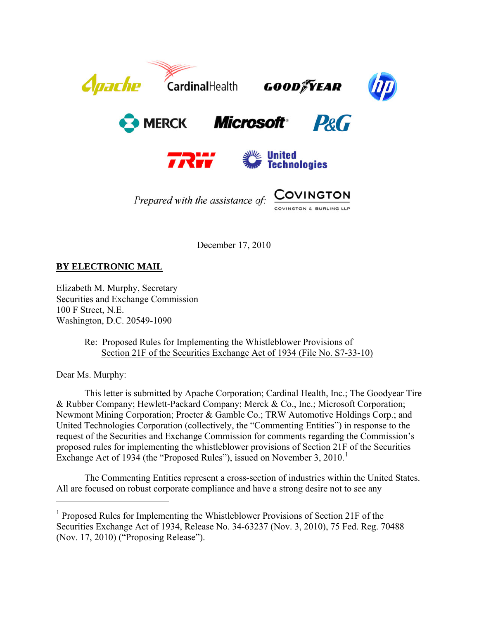

December 17, 2010

**BY ELECTRONIC MAIL**

Elizabeth M. Murphy, Secretary Securities and Exchange Commission 100 F Street, N.E. Washington, D.C. 20549-1090

> Re: Proposed Rules for Implementing the Whistleblower Provisions of Section 21F of the Securities Exchange Act of 1934 (File No. S7-33-10)

Dear Ms. Murphy:

 $\overline{a}$ 

This letter is submitted by Apache Corporation; Cardinal Health, Inc.; The Goodyear Tire & Rubber Company; Hewlett-Packard Company; Merck & Co., Inc.; Microsoft Corporation; Newmont Mining Corporation; Procter & Gamble Co.; TRW Automotive Holdings Corp.; and United Technologies Corporation (collectively, the "Commenting Entities") in response to the request of the Securities and Exchange Commission for comments regarding the Commission's proposed rules for implementing the whistleblower provisions of Section 21F of the Securities Exchange Act of [1](#page-0-0)934 (the "Proposed Rules"), issued on November 3, 2010.<sup>1</sup>

The Commenting Entities represent a cross-section of industries within the United States. All are focused on robust corporate compliance and have a strong desire not to see any

<span id="page-0-0"></span><sup>&</sup>lt;sup>1</sup> Proposed Rules for Implementing the Whistleblower Provisions of Section 21F of the Securities Exchange Act of 1934, Release No. 34-63237 (Nov. 3, 2010), 75 Fed. Reg. 70488 (Nov. 17, 2010) ("Proposing Release").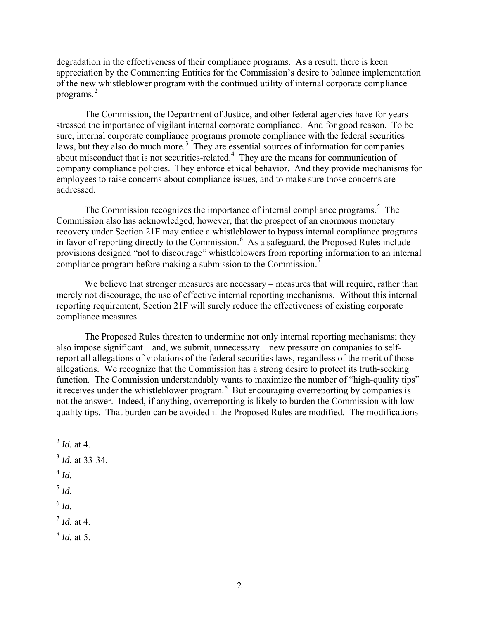degradation in the effectiveness of their compliance programs. As a result, there is keen appreciation by the Commenting Entities for the Commission's desire to balance implementation of the new whistleblower program with the continued utility of internal corporate compliance programs. [2](#page-1-0)

The Commission, the Department of Justice, and other federal agencies have for years stressed the importance of vigilant internal corporate compliance. And for good reason. To be sure, internal corporate compliance programs promote compliance with the federal securities laws, but they also do much more.<sup>[3](#page-1-1)</sup> They are essential sources of information for companies about misconduct that is not securities-related. $4$  They are the means for communication of company compliance policies. They enforce ethical behavior. And they provide mechanisms for employees to raise concerns about compliance issues, and to make sure those concerns are addressed.

The Commission recognizes the importance of internal compliance programs.<sup>[5](#page-1-3)</sup> The Commission also has acknowledged, however, that the prospect of an enormous monetary recovery under Section 21F may entice a whistleblower to bypass internal compliance programs in favor of reporting directly to the Commission.<sup>[6](#page-1-4)</sup> As a safeguard, the Proposed Rules include provisions designed "not to discourage" whistleblowers from reporting information to an internal compliance program before making a submission to the Commission.<sup>[7](#page-1-5)</sup>

We believe that stronger measures are necessary – measures that will require, rather than merely not discourage, the use of effective internal reporting mechanisms. Without this internal reporting requirement, Section 21F will surely reduce the effectiveness of existing corporate compliance measures.

The Proposed Rules threaten to undermine not only internal reporting mechanisms; they also impose significant – and, we submit, unnecessary – new pressure on companies to selfreport all allegations of violations of the federal securities laws, regardless of the merit of those allegations. We recognize that the Commission has a strong desire to protect its truth-seeking function. The Commission understandably wants to maximize the number of "high-quality tips" it receives under the whistleblower program.<sup>[8](#page-1-6)</sup> But encouraging overreporting by companies is not the answer. Indeed, if anything, overreporting is likely to burden the Commission with lowquality tips. That burden can be avoided if the Proposed Rules are modified. The modifications

<span id="page-1-2"></span><sup>4</sup> *Id.*

 $\overline{a}$ 

<span id="page-1-3"></span><sup>5</sup> *Id.*

<span id="page-1-4"></span> $6$   $Id.$ 

<span id="page-1-5"></span> $^7$  *Id.* at 4.

<span id="page-1-6"></span><sup>8</sup> *Id.* at 5.

<span id="page-1-0"></span> $^{2}$  *Id.* at 4.

<span id="page-1-1"></span> $3$  *Id.* at 33-34.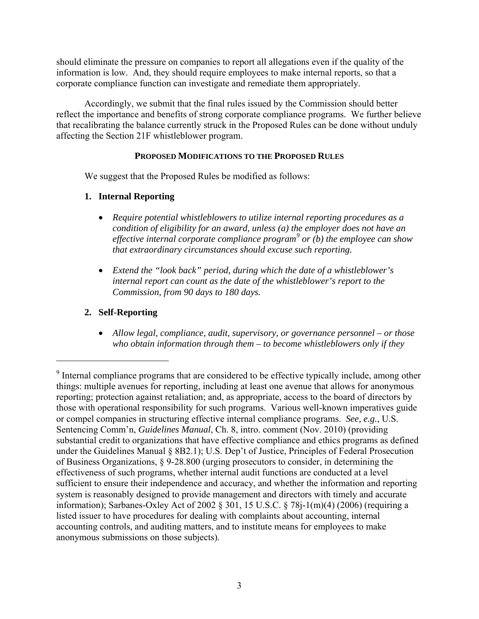should eliminate the pressure on companies to report all allegations even if the quality of the information is low. And, they should require employees to make internal reports, so that a corporate compliance function can investigate and remediate them appropriately.

 Accordingly, we submit that the final rules issued by the Commission should better reflect the importance and benefits of strong corporate compliance programs. We further believe that recalibrating the balance currently struck in the Proposed Rules can be done without unduly affecting the Section 21F whistleblower program.

#### **PROPOSED MODIFICATIONS TO THE PROPOSED RULES**

We suggest that the Proposed Rules be modified as follows:

### **1. Internal Reporting**

- *Require potential whistleblowers to utilize internal reporting procedures as a condition of eligibility for an award, unless (a) the employer does not have an effective internal corporate compliance program[9](#page-2-0) or (b) the employee can show that extraordinary circumstances should excuse such reporting.*
- *Extend the "look back" period, during which the date of a whistleblower's internal report can count as the date of the whistleblower's report to the Commission, from 90 days to 180 days.*

# **2. Self-Reporting**

 $\overline{a}$ 

 *Allow legal, compliance, audit, supervisory, or governance personnel – or those who obtain information through them – to become whistleblowers only if they* 

<span id="page-2-0"></span><sup>&</sup>lt;sup>9</sup> Internal compliance programs that are considered to be effective typically include, among other things: multiple avenues for reporting, including at least one avenue that allows for anonymous reporting; protection against retaliation; and, as appropriate, access to the board of directors by those with operational responsibility for such programs. Various well-known imperatives guide or compel companies in structuring effective internal compliance programs. *See, e.g.*, U.S. Sentencing Comm'n, *Guidelines Manual*, Ch. 8, intro. comment (Nov. 2010) (providing substantial credit to organizations that have effective compliance and ethics programs as defined under the Guidelines Manual § 8B2.1); U.S. Dep't of Justice, Principles of Federal Prosecution of Business Organizations, § 9-28.800 (urging prosecutors to consider, in determining the effectiveness of such programs, whether internal audit functions are conducted at a level sufficient to ensure their independence and accuracy, and whether the information and reporting system is reasonably designed to provide management and directors with timely and accurate information); Sarbanes-Oxley Act of 2002 § 301, 15 U.S.C. § 78j-1(m)(4) (2006) (requiring a listed issuer to have procedures for dealing with complaints about accounting, internal accounting controls, and auditing matters, and to institute means for employees to make anonymous submissions on those subjects).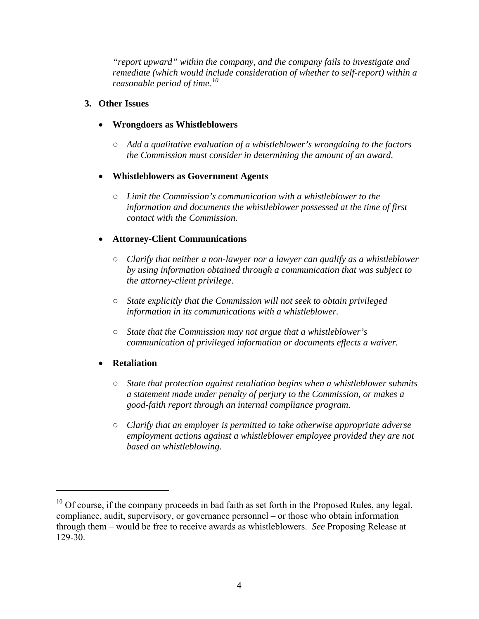*"report upward" within the company, and the company fails to investigate and remediate (which would include consideration of whether to self-report) within a reasonable period of time.[10](#page-3-0)*

#### **3. Other Issues**

#### **Wrongdoers as Whistleblowers**

○ *Add a qualitative evaluation of a whistleblower's wrongdoing to the factors the Commission must consider in determining the amount of an award.* 

#### **Whistleblowers as Government Agents**

○ *Limit the Commission's communication with a whistleblower to the information and documents the whistleblower possessed at the time of first contact with the Commission.* 

### **Attorney-Client Communications**

- *Clarify that neither a non-lawyer nor a lawyer can qualify as a whistleblower by using information obtained through a communication that was subject to the attorney-client privilege.*
- *State explicitly that the Commission will not seek to obtain privileged information in its communications with a whistleblower.*
- *State that the Commission may not argue that a whistleblower's communication of privileged information or documents effects a waiver.*

### **Retaliation**

- *State that protection against retaliation begins when a whistleblower submits a statement made under penalty of perjury to the Commission, or makes a good-faith report through an internal compliance program.*
- *Clarify that an employer is permitted to take otherwise appropriate adverse employment actions against a whistleblower employee provided they are not based on whistleblowing.*

<span id="page-3-0"></span> $10$  Of course, if the company proceeds in bad faith as set forth in the Proposed Rules, any legal, compliance, audit, supervisory, or governance personnel – or those who obtain information through them – would be free to receive awards as whistleblowers. *See* Proposing Release at 129-30.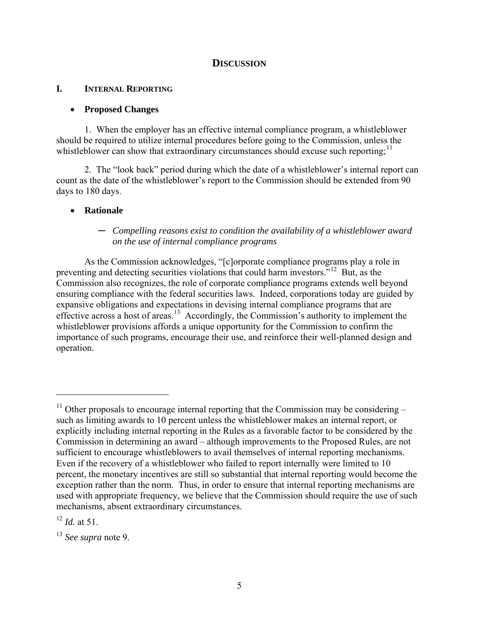#### **DISCUSSION**

#### **I. INTERNAL REPORTING**

#### **Proposed Changes**

1. When the employer has an effective internal compliance program, a whistleblower should be required to utilize internal procedures before going to the Commission, unless the whistleblower can show that extraordinary circumstances should excuse such reporting;  $\frac{11}{11}$  $\frac{11}{11}$  $\frac{11}{11}$ 

2. The "look back" period during which the date of a whistleblower's internal report can count as the date of the whistleblower's report to the Commission should be extended from 90 days to 180 days.

#### **Rationale**

#### ─ *Compelling reasons exist to condition the availability of a whistleblower award on the use of internal compliance programs*

As the Commission acknowledges, "[c]orporate compliance programs play a role in preventing and detecting securities violations that could harm investors."[12](#page-4-1) But, as the Commission also recognizes, the role of corporate compliance programs extends well beyond ensuring compliance with the federal securities laws. Indeed, corporations today are guided by expansive obligations and expectations in devising internal compliance programs that are effective across a host of areas.<sup>[13](#page-4-2)</sup> Accordingly, the Commission's authority to implement the whistleblower provisions affords a unique opportunity for the Commission to confirm the importance of such programs, encourage their use, and reinforce their well-planned design and operation.

<span id="page-4-0"></span> $11$  Other proposals to encourage internal reporting that the Commission may be considering – such as limiting awards to 10 percent unless the whistleblower makes an internal report, or explicitly including internal reporting in the Rules as a favorable factor to be considered by the Commission in determining an award – although improvements to the Proposed Rules, are not sufficient to encourage whistleblowers to avail themselves of internal reporting mechanisms. Even if the recovery of a whistleblower who failed to report internally were limited to 10 percent, the monetary incentives are still so substantial that internal reporting would become the exception rather than the norm. Thus, in order to ensure that internal reporting mechanisms are used with appropriate frequency, we believe that the Commission should require the use of such mechanisms, absent extraordinary circumstances.

<span id="page-4-1"></span><sup>12</sup> *Id.* at 51.

<span id="page-4-2"></span><sup>13</sup> *See supra* note 9.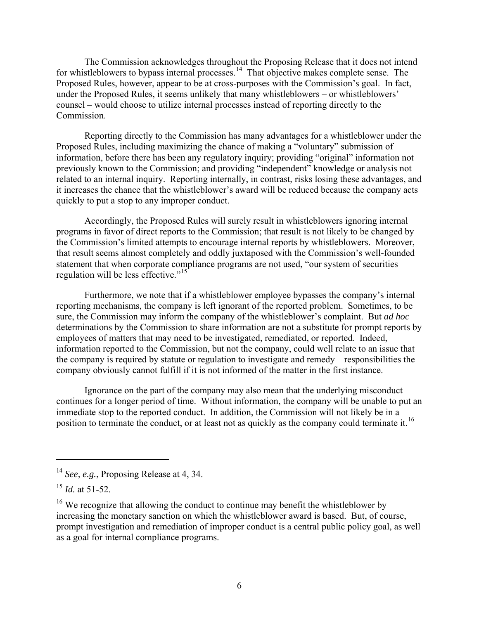The Commission acknowledges throughout the Proposing Release that it does not intend for whistleblowers to bypass internal processes.<sup>14</sup> That objective makes complete sense. The Proposed Rules, however, appear to be at cross-purposes with the Commission's goal. In fact, under the Proposed Rules, it seems unlikely that many whistleblowers – or whistleblowers' counsel – would choose to utilize internal processes instead of reporting directly to the Commission.

Reporting directly to the Commission has many advantages for a whistleblower under the Proposed Rules, including maximizing the chance of making a "voluntary" submission of information, before there has been any regulatory inquiry; providing "original" information not previously known to the Commission; and providing "independent" knowledge or analysis not related to an internal inquiry. Reporting internally, in contrast, risks losing these advantages, and it increases the chance that the whistleblower's award will be reduced because the company acts quickly to put a stop to any improper conduct.

Accordingly, the Proposed Rules will surely result in whistleblowers ignoring internal programs in favor of direct reports to the Commission; that result is not likely to be changed by the Commission's limited attempts to encourage internal reports by whistleblowers. Moreover, that result seems almost completely and oddly juxtaposed with the Commission's well-founded statement that when corporate compliance programs are not used, "our system of securities regulation will be less effective."<sup>[15](#page-5-1)</sup>

Furthermore, we note that if a whistleblower employee bypasses the company's internal reporting mechanisms, the company is left ignorant of the reported problem. Sometimes, to be sure, the Commission may inform the company of the whistleblower's complaint. But *ad hoc* determinations by the Commission to share information are not a substitute for prompt reports by employees of matters that may need to be investigated, remediated, or reported. Indeed, information reported to the Commission, but not the company, could well relate to an issue that the company is required by statute or regulation to investigate and remedy – responsibilities the company obviously cannot fulfill if it is not informed of the matter in the first instance.

Ignorance on the part of the company may also mean that the underlying misconduct continues for a longer period of time. Without information, the company will be unable to put an immediate stop to the reported conduct. In addition, the Commission will not likely be in a position to terminate the conduct, or at least not as quickly as the company could terminate it.<sup>[16](#page-5-2)</sup>

1

<span id="page-5-0"></span><sup>14</sup> *See, e.g.*, Proposing Release at 4, 34.

<span id="page-5-1"></span><sup>15</sup> *Id.* at 51-52.

<span id="page-5-2"></span><sup>&</sup>lt;sup>16</sup> We recognize that allowing the conduct to continue may benefit the whistleblower by increasing the monetary sanction on which the whistleblower award is based. But, of course, prompt investigation and remediation of improper conduct is a central public policy goal, as well as a goal for internal compliance programs.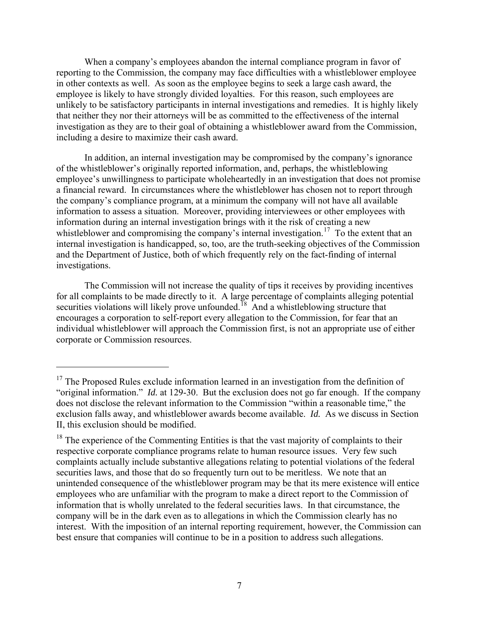When a company's employees abandon the internal compliance program in favor of reporting to the Commission, the company may face difficulties with a whistleblower employee in other contexts as well. As soon as the employee begins to seek a large cash award, the employee is likely to have strongly divided loyalties. For this reason, such employees are unlikely to be satisfactory participants in internal investigations and remedies. It is highly likely that neither they nor their attorneys will be as committed to the effectiveness of the internal investigation as they are to their goal of obtaining a whistleblower award from the Commission, including a desire to maximize their cash award.

In addition, an internal investigation may be compromised by the company's ignorance of the whistleblower's originally reported information, and, perhaps, the whistleblowing employee's unwillingness to participate wholeheartedly in an investigation that does not promise a financial reward. In circumstances where the whistleblower has chosen not to report through the company's compliance program, at a minimum the company will not have all available information to assess a situation. Moreover, providing interviewees or other employees with information during an internal investigation brings with it the risk of creating a new whistleblower and compromising the company's internal investigation.<sup>[17](#page-6-0)</sup> To the extent that an internal investigation is handicapped, so, too, are the truth-seeking objectives of the Commission and the Department of Justice, both of which frequently rely on the fact-finding of internal investigations.

The Commission will not increase the quality of tips it receives by providing incentives for all complaints to be made directly to it. A large percentage of complaints alleging potential securities violations will likely prove unfounded.<sup>18</sup> And a whistleblowing structure that encourages a corporation to self-report every allegation to the Commission, for fear that an individual whistleblower will approach the Commission first, is not an appropriate use of either corporate or Commission resources.

<span id="page-6-0"></span> $17$  The Proposed Rules exclude information learned in an investigation from the definition of "original information." *Id.* at 129-30. But the exclusion does not go far enough. If the company does not disclose the relevant information to the Commission "within a reasonable time," the exclusion falls away, and whistleblower awards become available. *Id.* As we discuss in Section II, this exclusion should be modified.

<span id="page-6-1"></span> $18$  The experience of the Commenting Entities is that the vast majority of complaints to their respective corporate compliance programs relate to human resource issues. Very few such complaints actually include substantive allegations relating to potential violations of the federal securities laws, and those that do so frequently turn out to be meritless. We note that an unintended consequence of the whistleblower program may be that its mere existence will entice employees who are unfamiliar with the program to make a direct report to the Commission of information that is wholly unrelated to the federal securities laws. In that circumstance, the company will be in the dark even as to allegations in which the Commission clearly has no interest. With the imposition of an internal reporting requirement, however, the Commission can best ensure that companies will continue to be in a position to address such allegations.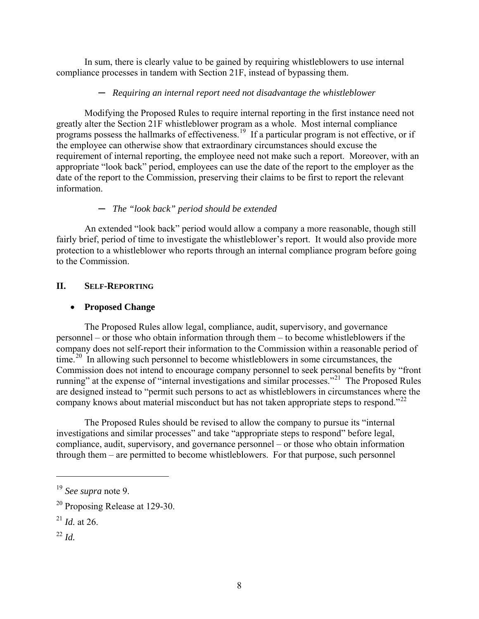In sum, there is clearly value to be gained by requiring whistleblowers to use internal compliance processes in tandem with Section 21F, instead of bypassing them.

#### ─ *Requiring an internal report need not disadvantage the whistleblower*

Modifying the Proposed Rules to require internal reporting in the first instance need not greatly alter the Section 21F whistleblower program as a whole. Most internal compliance programs possess the hallmarks of effectiveness.<sup>[19](#page-7-0)</sup> If a particular program is not effective, or if the employee can otherwise show that extraordinary circumstances should excuse the requirement of internal reporting, the employee need not make such a report. Moreover, with an appropriate "look back" period, employees can use the date of the report to the employer as the date of the report to the Commission, preserving their claims to be first to report the relevant information.

### ─ *The "look back" period should be extended*

An extended "look back" period would allow a company a more reasonable, though still fairly brief, period of time to investigate the whistleblower's report. It would also provide more protection to a whistleblower who reports through an internal compliance program before going to the Commission.

## **II. SELF-REPORTING**

### **Proposed Change**

The Proposed Rules allow legal, compliance, audit, supervisory, and governance personnel – or those who obtain information through them – to become whistleblowers if the company does not self-report their information to the Commission within a reasonable period of time.<sup>20</sup> In allowing such personnel to become whistleblowers in some circumstances, the Commission does not intend to encourage company personnel to seek personal benefits by "front running" at the expense of "internal investigations and similar processes."<sup>21</sup> The Proposed Rules are designed instead to "permit such persons to act as whistleblowers in circumstances where the company knows about material misconduct but has not taken appropriate steps to respond."<sup>[22](#page-7-3)</sup>

The Proposed Rules should be revised to allow the company to pursue its "internal investigations and similar processes" and take "appropriate steps to respond" before legal, compliance, audit, supervisory, and governance personnel – or those who obtain information through them – are permitted to become whistleblowers. For that purpose, such personnel

<span id="page-7-3"></span><sup>22</sup> *Id.*

<span id="page-7-0"></span><sup>19</sup> *See supra* note 9.

<span id="page-7-1"></span><sup>20</sup> Proposing Release at 129-30.

<span id="page-7-2"></span> $^{21}$  *Id.* at 26.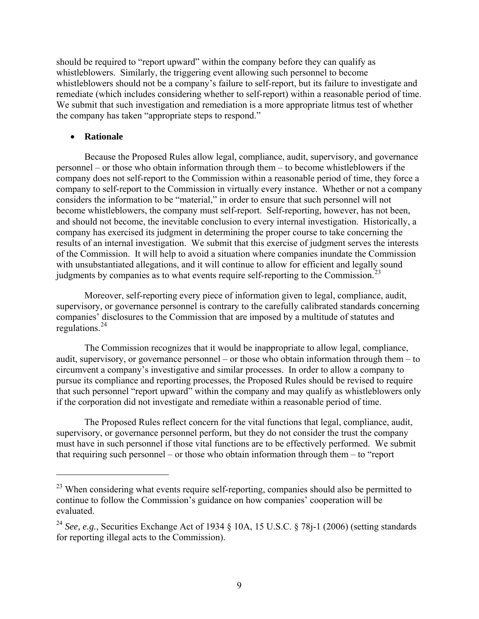should be required to "report upward" within the company before they can qualify as whistleblowers. Similarly, the triggering event allowing such personnel to become whistleblowers should not be a company's failure to self-report, but its failure to investigate and remediate (which includes considering whether to self-report) within a reasonable period of time. We submit that such investigation and remediation is a more appropriate litmus test of whether the company has taken "appropriate steps to respond."

#### **Rationale**

 $\overline{a}$ 

Because the Proposed Rules allow legal, compliance, audit, supervisory, and governance personnel – or those who obtain information through them – to become whistleblowers if the company does not self-report to the Commission within a reasonable period of time, they force a company to self-report to the Commission in virtually every instance. Whether or not a company considers the information to be "material," in order to ensure that such personnel will not become whistleblowers, the company must self-report. Self-reporting, however, has not been, and should not become, the inevitable conclusion to every internal investigation. Historically, a company has exercised its judgment in determining the proper course to take concerning the results of an internal investigation. We submit that this exercise of judgment serves the interests of the Commission. It will help to avoid a situation where companies inundate the Commission with unsubstantiated allegations, and it will continue to allow for efficient and legally sound judgments by companies as to what events require self-reporting to the Commission.<sup>[23](#page-8-0)</sup>

Moreover, self-reporting every piece of information given to legal, compliance, audit, supervisory, or governance personnel is contrary to the carefully calibrated standards concerning companies' disclosures to the Commission that are imposed by a multitude of statutes and regulations.[24](#page-8-1)

The Commission recognizes that it would be inappropriate to allow legal, compliance, audit, supervisory, or governance personnel – or those who obtain information through them – to circumvent a company's investigative and similar processes. In order to allow a company to pursue its compliance and reporting processes, the Proposed Rules should be revised to require that such personnel "report upward" within the company and may qualify as whistleblowers only if the corporation did not investigate and remediate within a reasonable period of time.

The Proposed Rules reflect concern for the vital functions that legal, compliance, audit, supervisory, or governance personnel perform, but they do not consider the trust the company must have in such personnel if those vital functions are to be effectively performed. We submit that requiring such personnel – or those who obtain information through them – to "report

<span id="page-8-0"></span><sup>&</sup>lt;sup>23</sup> When considering what events require self-reporting, companies should also be permitted to continue to follow the Commission's guidance on how companies' cooperation will be evaluated.

<span id="page-8-1"></span><sup>&</sup>lt;sup>24</sup> See, e.g., Securities Exchange Act of 1934 § 10A, 15 U.S.C. § 78j-1 (2006) (setting standards for reporting illegal acts to the Commission).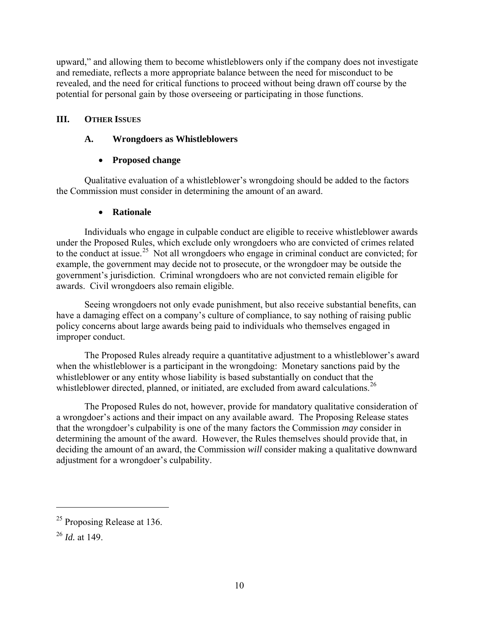upward," and allowing them to become whistleblowers only if the company does not investigate and remediate, reflects a more appropriate balance between the need for misconduct to be revealed, and the need for critical functions to proceed without being drawn off course by the potential for personal gain by those overseeing or participating in those functions.

### **III. OTHER ISSUES**

### **A. Wrongdoers as Whistleblowers**

## **Proposed change**

Qualitative evaluation of a whistleblower's wrongdoing should be added to the factors the Commission must consider in determining the amount of an award.

### **Rationale**

Individuals who engage in culpable conduct are eligible to receive whistleblower awards under the Proposed Rules, which exclude only wrongdoers who are convicted of crimes related to the conduct at issue.<sup>[25](#page-9-0)</sup> Not all wrongdoers who engage in criminal conduct are convicted; for example, the government may decide not to prosecute, or the wrongdoer may be outside the government's jurisdiction. Criminal wrongdoers who are not convicted remain eligible for awards. Civil wrongdoers also remain eligible.

Seeing wrongdoers not only evade punishment, but also receive substantial benefits, can have a damaging effect on a company's culture of compliance, to say nothing of raising public policy concerns about large awards being paid to individuals who themselves engaged in improper conduct.

The Proposed Rules already require a quantitative adjustment to a whistleblower's award when the whistleblower is a participant in the wrongdoing: Monetary sanctions paid by the whistleblower or any entity whose liability is based substantially on conduct that the whistleblower directed, planned, or initiated, are excluded from award calculations.<sup>[26](#page-9-1)</sup>

The Proposed Rules do not, however, provide for mandatory qualitative consideration of a wrongdoer's actions and their impact on any available award. The Proposing Release states that the wrongdoer's culpability is one of the many factors the Commission *may* consider in determining the amount of the award. However, the Rules themselves should provide that, in deciding the amount of an award, the Commission *will* consider making a qualitative downward adjustment for a wrongdoer's culpability.

<span id="page-9-0"></span><sup>&</sup>lt;sup>25</sup> Proposing Release at 136.

<span id="page-9-1"></span><sup>26</sup> *Id.* at 149.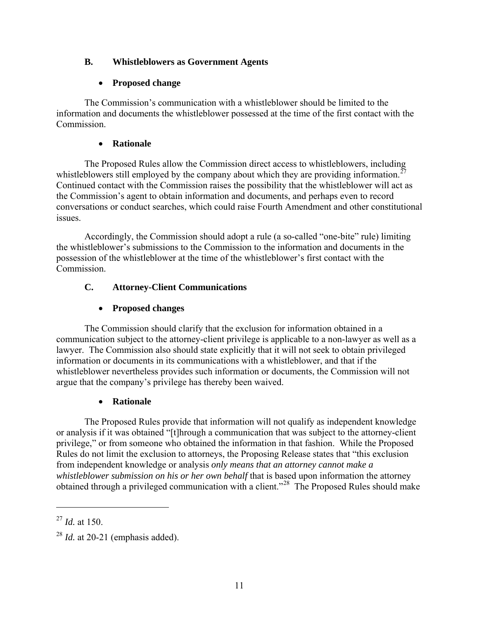## **B. Whistleblowers as Government Agents**

## **Proposed change**

The Commission's communication with a whistleblower should be limited to the information and documents the whistleblower possessed at the time of the first contact with the Commission.

## **Rationale**

The Proposed Rules allow the Commission direct access to whistleblowers, including whistleblowers still employed by the company about which they are providing information.<sup>2</sup> Continued contact with the Commission raises the possibility that the whistleblower will act as the Commission's agent to obtain information and documents, and perhaps even to record conversations or conduct searches, which could raise Fourth Amendment and other constitutional issues.

Accordingly, the Commission should adopt a rule (a so-called "one-bite" rule) limiting the whistleblower's submissions to the Commission to the information and documents in the possession of the whistleblower at the time of the whistleblower's first contact with the Commission.

# **C. Attorney-Client Communications**

# **Proposed changes**

The Commission should clarify that the exclusion for information obtained in a communication subject to the attorney-client privilege is applicable to a non-lawyer as well as a lawyer. The Commission also should state explicitly that it will not seek to obtain privileged information or documents in its communications with a whistleblower, and that if the whistleblower nevertheless provides such information or documents, the Commission will not argue that the company's privilege has thereby been waived.

# **Rationale**

The Proposed Rules provide that information will not qualify as independent knowledge or analysis if it was obtained "[t]hrough a communication that was subject to the attorney-client privilege," or from someone who obtained the information in that fashion. While the Proposed Rules do not limit the exclusion to attorneys, the Proposing Release states that "this exclusion from independent knowledge or analysis *only means that an attorney cannot make a whistleblower submission on his or her own behalf* that is based upon information the attorney obtained through a privileged communication with a client."[28](#page-10-1) The Proposed Rules should make

<span id="page-10-0"></span><sup>27</sup> *Id.* at 150.

<span id="page-10-1"></span> $^{28}$  *Id.* at 20-21 (emphasis added).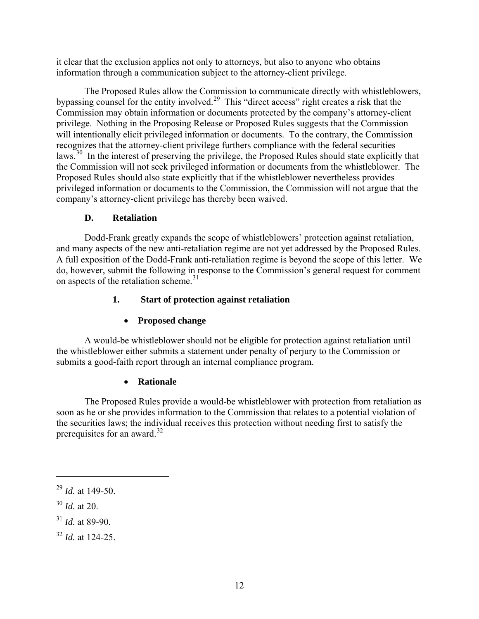it clear that the exclusion applies not only to attorneys, but also to anyone who obtains information through a communication subject to the attorney-client privilege.

The Proposed Rules allow the Commission to communicate directly with whistleblowers, bypassing counsel for the entity involved.<sup>[29](#page-11-0)</sup> This "direct access" right creates a risk that the Commission may obtain information or documents protected by the company's attorney-client privilege. Nothing in the Proposing Release or Proposed Rules suggests that the Commission will intentionally elicit privileged information or documents. To the contrary, the Commission recognizes that the attorney-client privilege furthers compliance with the federal securities laws.<sup>30</sup> In the interest of preserving the privilege, the Proposed Rules should state explicitly that the Commission will not seek privileged information or documents from the whistleblower. The Proposed Rules should also state explicitly that if the whistleblower nevertheless provides privileged information or documents to the Commission, the Commission will not argue that the company's attorney-client privilege has thereby been waived.

### **D. Retaliation**

Dodd-Frank greatly expands the scope of whistleblowers' protection against retaliation, and many aspects of the new anti-retaliation regime are not yet addressed by the Proposed Rules. A full exposition of the Dodd-Frank anti-retaliation regime is beyond the scope of this letter. We do, however, submit the following in response to the Commission's general request for comment on aspects of the retaliation scheme. $31$ 

# **1. Start of protection against retaliation**

# **Proposed change**

A would-be whistleblower should not be eligible for protection against retaliation until the whistleblower either submits a statement under penalty of perjury to the Commission or submits a good-faith report through an internal compliance program.

### **Rationale**

The Proposed Rules provide a would-be whistleblower with protection from retaliation as soon as he or she provides information to the Commission that relates to a potential violation of the securities laws; the individual receives this protection without needing first to satisfy the prerequisites for an award. $32$ 

 $\overline{a}$ 

<span id="page-11-2"></span> $31$  *Id.* at 89-90.

<span id="page-11-0"></span><sup>29</sup> *Id.* at 149-50.

<span id="page-11-1"></span><sup>30</sup> *Id.* at 20.

<span id="page-11-3"></span><sup>32</sup> *Id.* at 124-25.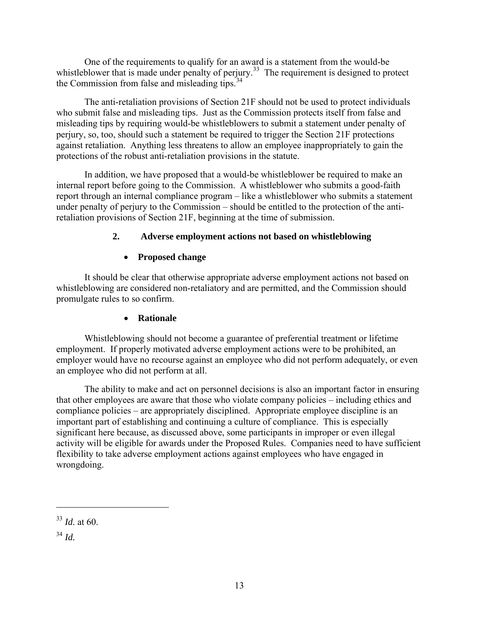One of the requirements to qualify for an award is a statement from the would-be whistleblower that is made under penalty of perjury.<sup>33</sup> The requirement is designed to protect the Commission from false and misleading tips.<sup>[34](#page-12-1)</sup>

The anti-retaliation provisions of Section 21F should not be used to protect individuals who submit false and misleading tips. Just as the Commission protects itself from false and misleading tips by requiring would-be whistleblowers to submit a statement under penalty of perjury, so, too, should such a statement be required to trigger the Section 21F protections against retaliation. Anything less threatens to allow an employee inappropriately to gain the protections of the robust anti-retaliation provisions in the statute.

In addition, we have proposed that a would-be whistleblower be required to make an internal report before going to the Commission. A whistleblower who submits a good-faith report through an internal compliance program – like a whistleblower who submits a statement under penalty of perjury to the Commission – should be entitled to the protection of the antiretaliation provisions of Section 21F, beginning at the time of submission.

## **2. Adverse employment actions not based on whistleblowing**

## **Proposed change**

It should be clear that otherwise appropriate adverse employment actions not based on whistleblowing are considered non-retaliatory and are permitted, and the Commission should promulgate rules to so confirm.

### **Rationale**

Whistleblowing should not become a guarantee of preferential treatment or lifetime employment. If properly motivated adverse employment actions were to be prohibited, an employer would have no recourse against an employee who did not perform adequately, or even an employee who did not perform at all.

The ability to make and act on personnel decisions is also an important factor in ensuring that other employees are aware that those who violate company policies – including ethics and compliance policies – are appropriately disciplined. Appropriate employee discipline is an important part of establishing and continuing a culture of compliance. This is especially significant here because, as discussed above, some participants in improper or even illegal activity will be eligible for awards under the Proposed Rules. Companies need to have sufficient flexibility to take adverse employment actions against employees who have engaged in wrongdoing.

1

<span id="page-12-0"></span><sup>33</sup> *Id.* at 60.

<span id="page-12-1"></span><sup>34</sup> *Id.*